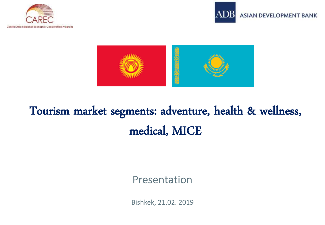





# Tourism market segments: adventure, health & wellness, medical, MICE

#### Presentation

Bishkek, 21.02. 2019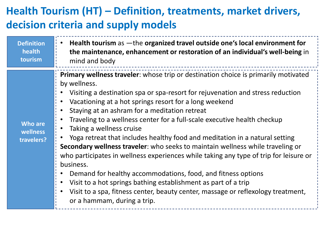### **Health Tourism (HT) – Definition, treatments, market drivers, decision criteria and supply models**

| <b>Definition</b>                        | Health tourism as -the organized travel outside one's local environment for                                                                                                                                                                                                                                                                                                                                                                                                                                                                                                                                                                                                                                                                                                                                                                                                                                                         |
|------------------------------------------|-------------------------------------------------------------------------------------------------------------------------------------------------------------------------------------------------------------------------------------------------------------------------------------------------------------------------------------------------------------------------------------------------------------------------------------------------------------------------------------------------------------------------------------------------------------------------------------------------------------------------------------------------------------------------------------------------------------------------------------------------------------------------------------------------------------------------------------------------------------------------------------------------------------------------------------|
| health                                   | the maintenance, enhancement or restoration of an individual's well-being in                                                                                                                                                                                                                                                                                                                                                                                                                                                                                                                                                                                                                                                                                                                                                                                                                                                        |
| tourism                                  | mind and body                                                                                                                                                                                                                                                                                                                                                                                                                                                                                                                                                                                                                                                                                                                                                                                                                                                                                                                       |
| <b>Who are</b><br>wellness<br>travelers? | Primary wellness traveler: whose trip or destination choice is primarily motivated<br>by wellness.<br>Visiting a destination spa or spa-resort for rejuvenation and stress reduction<br>Vacationing at a hot springs resort for a long weekend<br>Staying at an ashram for a meditation retreat<br>Traveling to a wellness center for a full-scale executive health checkup<br>Taking a wellness cruise<br>Yoga retreat that includes healthy food and meditation in a natural setting<br>Secondary wellness traveler: who seeks to maintain wellness while traveling or<br>who participates in wellness experiences while taking any type of trip for leisure or<br>business.<br>Demand for healthy accommodations, food, and fitness options<br>Visit to a hot springs bathing establishment as part of a trip<br>Visit to a spa, fitness center, beauty center, massage or reflexology treatment,<br>or a hammam, during a trip. |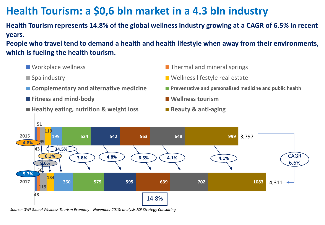### **Health Tourism: a \$0,6 bln market in a 4.3 bln industry**

**Health Tourism represents 14.8% of the global wellness industry growing at a CAGR of 6.5% in recent years.**

**People who travel tend to demand a health and health lifestyle when away from their environments, which is fueling the health tourism.**

- 
- 
- 
- **Fitness and mind-body Wellness tourism**
- Healthy eating, nutrition & weight loss Beauty & anti-aging
- $\blacksquare$  Workplace wellness  $\blacksquare$  Thermal and mineral springs
- Spa industry Wellness lifestyle real estate
- **Complementary and alternative medicine** Preventative and personalized medicine and public health
	-
	-



*Source: GWI Global Wellness Tourism Economy – November 2018; analysis JCF Strategy Consulting*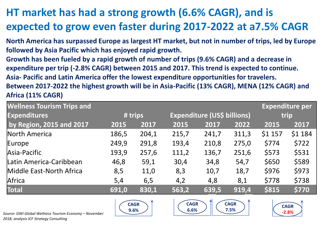## **HT market has had a strong growth (6.6% CAGR), and is expected to grow even faster during 2017-2022 at a7.5% CAGR**

**North America has surpassed Europe as largest HT market, but not in number of trips, led by Europe followed by Asia Pacific which has enjoyed rapid growth. Growth has been fueled by a rapid growth of number of trips (9.6% CAGR) and a decrease in expenditure per trip (-2.8% CAGR) between 2015 and 2017. This trend is expected to continue. Asia- Pacific and Latin America offer the lowest expenditure opportunities for travelers. Between 2017-2022 the highest growth will be in Asia-Pacific (13% CAGR), MENA (12% CAGR) and Africa (11% CAGR)**

| <b>Wellness Tourism Trips and</b> |         |       |                             |       |       |         | <b>Expenditure per</b> |
|-----------------------------------|---------|-------|-----------------------------|-------|-------|---------|------------------------|
| <b>Expenditures</b>               | # trips |       | Expenditure (US\$ billions) |       |       | trip    |                        |
| by Region, 2015 and 2017          | 2015    | 2017  | 2015                        | 2017  | 2022  | 2015    | 2017                   |
| North America                     | 186,5   | 204,1 | 215,7                       | 241,7 | 311,3 | \$1 157 | \$1 184                |
| Europe                            | 249,9   | 291,8 | 193,4                       | 210,8 | 275,0 | \$774   | \$722                  |
| Asia-Pacific                      | 193,9   | 257,6 | 111,2                       | 136,7 | 251,6 | \$573   | \$531                  |
| Latin America-Caribbean           | 46,8    | 59,1  | 30,4                        | 34,8  | 54,7  | \$650   | \$589                  |
| Middle East-North Africa          | 8,5     | 11,0  | 8,3                         | 10,7  | 18,7  | \$976   | \$973                  |
| Africa                            | 5,4     | 6,5   | 4,2                         | 4,8   | 8,1   | \$778   | \$738                  |
| <b>Total</b>                      | 691,0   | 830,1 | 563,2                       | 639,5 | 919,4 | \$815   | \$770                  |





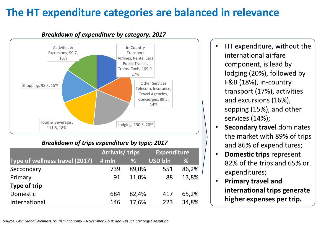#### **The HT expenditure categories are balanced in relevance**



#### *Breakdown of expenditure by category; 2017*

#### *Breakdown of trips expenditure by type; 2017*

|                                       | <b>Arrivals/ trips</b> |       | <b>Expenditure</b> |       |  |
|---------------------------------------|------------------------|-------|--------------------|-------|--|
| <b>Type of wellness travel (2017)</b> | # mln                  | %     | USD bin            | %     |  |
| Seccondary                            | 739                    | 89,0% | 551                | 86,2% |  |
| Primary                               | 91                     | 11,0% | 88                 | 13,8% |  |
| Type of trip                          |                        |       |                    |       |  |
| Domestic                              | 684                    | 82,4% | 417                | 65,2% |  |
| International                         | 146                    | 17,6% | 223                | 34,8% |  |

• HT expenditure, without the international airfare component, is lead by lodging (20%), followed by F&B (18%), in-country transport (17%), activities and excursions (16%), sopping (15%), and other services (14%);

- **Secondary travel** dominates the market with 89% of trips and 86% of expenditures;
- **Domestic trips** represent 82% of the trips and 65% or expenditures;
- **Primary travel and international trips generate higher expenses per trip.**